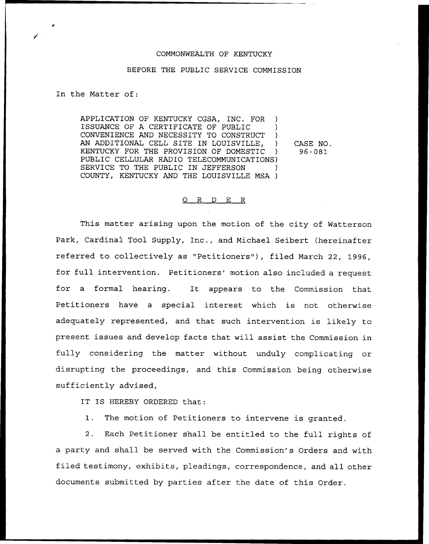## COMMONWEALTH OF KENTUCKY

### BEFORE THE PUBLIC SERVICE COMMISSION

In the Matter of:

APPLICATION OF KENTUCKY CGSA, INC. FOR ) ISSUANCE OF A CERTIFICATE OF PUBLIC ) CONVENIENCE AND NECESSITY TO CONSTRUCT ) AN ADDITIONAL CELL SITE IN LOUISVILLE, ) KENTUCKY FOR THE PROVISION OF DOMESTIC ) PUBLIC CELLULAR RADIO TELECOMMUNICATIONS) SERVICE TO THE PUBLIC IN JEFFERSON COUNTY, KENTUCKY AND THE LOUISVILLE MSA )

CASE NO. 96-081

### 0 R <sup>D</sup> E R

This matter arising upon the motion of the city of Natterson Park, Cardinal Tool Supply, Inc., and Michael Seibert (hereinafter referred to collectively as "Petitioners" ), filed March 22, 1996, for full intervention. Petitioners' motion also included a request for a formal hearing. It appears to the Commission that Petitioners have a special interest which is not otherwise adequately represented, and that such intervention is likely to present issues and develop facts that will assist the Commission in fully considering the matter without unduly complicating or disrupting the proceedings, and this Commission being otherwise sufficiently advised,

IT IS HEREBY ORDERED that:

1. The motion of Petitioners to intervene is granted.

2. Each Petitioner shall be entitled to the full rights of a party and shall be served with the Commission's Orders and with filed testimony, exhibits, pleadings, correspondence, and all other documents submitted by parties after the date of this Order.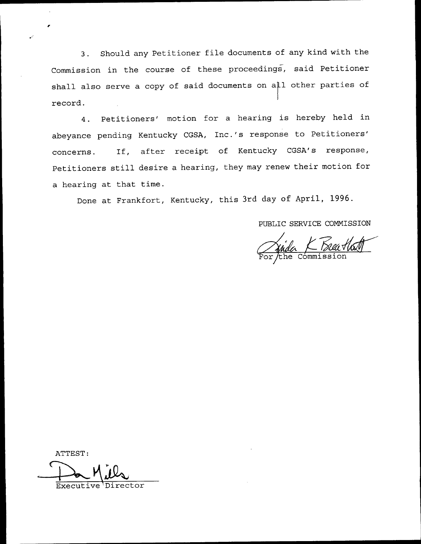3. Should any Petitioner file documents of any kind with the Commission in the course of these proceedings, said Petitioner shall also serve a copy of said documents on all other parties of record.

4. Petitioners' motion for a hearing is hereby held in abeyance pending Kentucky CGSA, Inc.'s response to Petitioners' If, after receipt of Kentucky CGSA's response, concerns. Petitioners still desire <sup>a</sup> hearing, they may renew their motion for a hearing at that time.

Done at Frankfort, Kentucky, this 3rd day of April, 1996.

PUBLIC SERVICE COMMISSION

<u>Nada K Buatha</u><br>or the commission

ATTEST:

Executi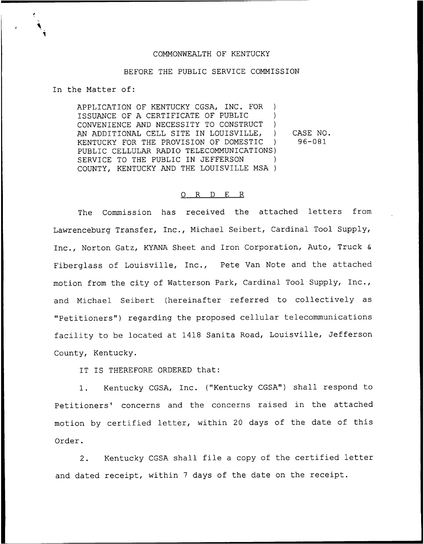# COMMONWEALTH OF KENTUCKY

# BEFORE THE PUBLIC SERVICE COMMISSION

In the Matter of:

APPLICATION OF KENTUCKY CGSA, INC. FOR ) ISSUANCE OF A CERTIFICATE OF PUBLIC ) CONVENIENCE AND NECESSITY TO CONSTRUCT ) AN ADDITIONAL CELL SITE IN LOUISVILLE, )<br>KENTUCKY FOR THE PROVISION OF DOMESTIC KENTUCKY FOR THE PROVISION OF DOMESTIC ) PUBLIC CELLULAR RADIO TELECOMMUNICATIONS) SERVICE TO THE PUBLIC IN JEFFERSON COUNTY, KENTUCKY AND THE LOUISVILLE MSA ) CASE NO. 96-081

### 0 R <sup>D</sup> E R

The Commission has received the attached letters from Lawrenceburg Transfer, Inc., Michael Seibert, Cardinal Tool Supply, Inc., Norton Gatz, KYANA Sheet and Iron Corporation, Auto, Truck & Fiberglass of Louisville, Inc., Pete Van Note and the attached motion from the city of Watterson Park, Cardinal Tool Supply, Inc., and Michael Seibert (hereinafter referred to collectively as "Petitioners") regarding the proposed cellular telecommunications facility to be located at 1418 Sanita Road, Louisville, Jefferson County, Kentucky.

IT IS THEREFORE ORDERED that:

1. Kentucky CGSA, Inc. ("Kentucky CGSA") shall respond to Petitioners' concerns and the concerns raised in the attached motion by certified letter, within <sup>20</sup> days of the date of this Order.

2. Kentucky CGSA shall file <sup>a</sup> copy of the certified letter and dated receipt, within <sup>7</sup> days of the date on the receipt.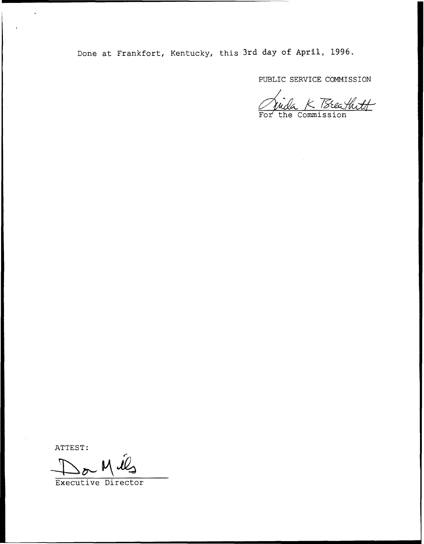Done at Frankfort, Kentucky, this 3rd day of April, 1996.

PUBLIC SERVICE COMMISSION

<u>ida K TSteathtt</u>

ATTEST:

Executive Director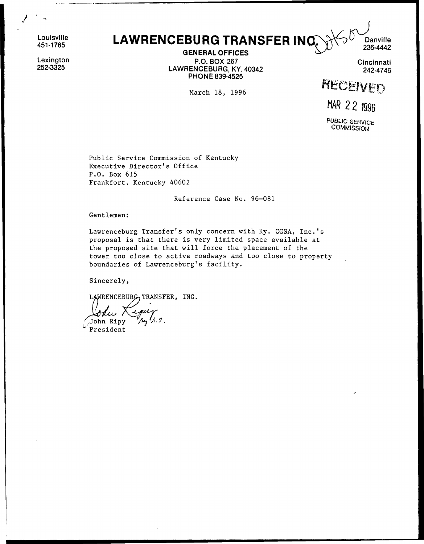Louisville 451-1765

Lexington 252-3325

LAWRENCEBURG TRANSFER INQ

GENERAL OFFICES P.O. BOX 267 LAWRENCEBURG, KY. 40342 PHONE 839-4525

March 18, 1996

**Cincinnati** 242-4746

**Danville** 236-4442

RECEIVED

MAR 22 1996

PUBLIC SERVICE **COMMISSION** 

Public Service Commission of Kentucky Executive Director's Office P.O. Box 615 Frankfort, Kentucky 40602

Reference Case No. 96-081

Gentlemen:

Lawrenceburg Transfer's only concern with Ky. CGSA, Inc.'s proposal is that there is very limited space available at the proposed site that will force the placement of the tower too close to active roadways and too close to property boundaries of Lawrenceburg's facility.

Sincerely,

LAWRENCEBURG TRANSFER, INC.

 $\mathcal{L}$ John Ripy  $\frac{1}{5}.2$ .

President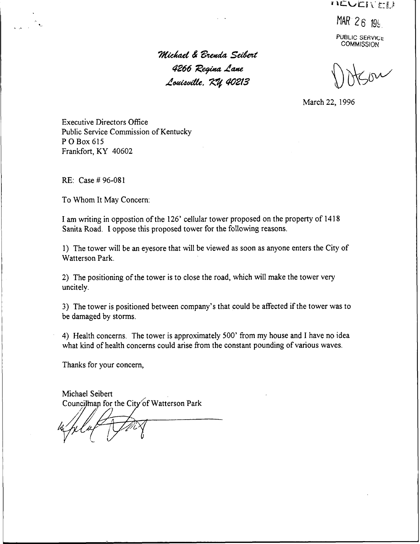**INCUCIVEL!** 

 $MAR$  26 196

SERVIC. COMMISSION

Michael & Brenda Seibert 4266 Regina Lane Louisville,  $~7\%$  40213

 $inv'$ 

March 22, 1996

Executive Directors Office Public Service Commission of Kentucky <sup>P</sup> 0 Box <sup>615</sup> Frankfort, KY 40602

 $RE: Case # 96-081$ 

To Whom It May Concern:

I am writing in oppostion of the 126' cellular tower proposed on the property of 1418 Sanita Road. I oppose this proposed tower for the following reasons.

1) The tower will be an eyesore that will be viewed as soon as anyone enters the City of Watterson Park.

2) The positioning of the tower is to close the road, which will make the tower very uncitely.

3) The tower is positioned between company's that could be affected if the tower was to be damaged by storms.

4) Health concerns. The tower is approximately 500' from my house and I have no idea what kind of health concerns could arise from the constant pounding of various waves.

Thanks for your concern,

Michael Seibert Councilman for the City of Watterson Park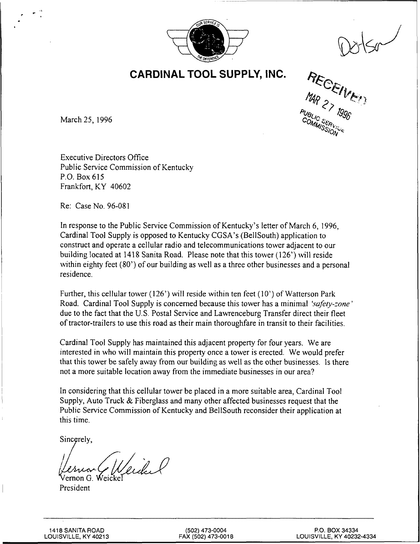

 $\leq r$ 

CARDINAL TOOL SUPPLY, INC.

RECEIVE

March 25, 1996

Executive Directors Office Public Service Commission of Kentucky P.O. Box 615 Frankfort, KY 40602

Re: Case No. 96-081

In response to the Public Service Commission of Kentucky's letter of March 6, 1996, Cardinal Tool Supply is opposed to Kentucky CGSA's (BellSouth) application to construct and operate a cellular radio and telecommunications tower adjacent to our building located at 1418 Sanita Road. Please note that this tower (126') will reside within eighty feet (80') of our building as well as a three other businesses and a personal residence.

Further, this cellular tower (126') will reside within ten feet (10') of Watterson Park Road. Cardinal Tool Supply is concerned because this tower has a minimal 'safety-zone' due to the fact that the U.S. Postal Service and Lawrenceburg Transfer direct their fleet of tractor-trailers to use this road as their main thoroughfare in transit to their facilities.

Cardinal Tool Supply has maintained this adjacent property for four years. We are interested in who will maintain this property once a tower is erected. We would prefer that this tower be safely away from our building as well as the other businesses. Is there not a more suitable location away from the immediate businesses in our area?

In considering that this cellular tower be placed in a more suitable area, Cardinal Tool Supply, Auto Truck & Fiberglass and many other affected businesses request that the Public Service Commission of Kentucky and BellSouth reconsider their application at this time.

Sincerely,

Veidel ernon G.

President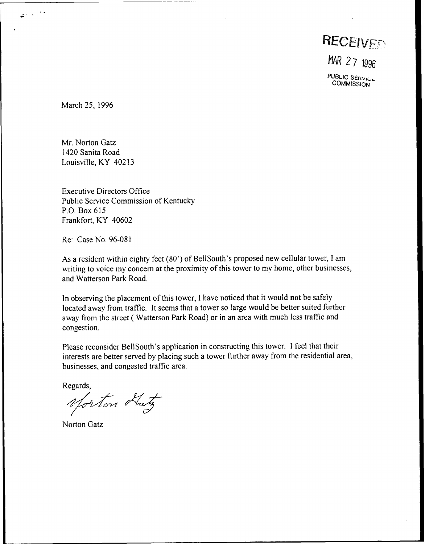RECEIVED

MAR 27 1996

PUBLIC SERVICE **COMMISSION** 

March 25, 1996

Mr. Norton Gatz 1420 Sanita Road Louisville, KY 40213

Executive Directors Office Public Service Commission of Kentucky P.O, Box 615 Frankfort, KY 40602

Re: Case No. 96-081

As a resident within eighty feet (80') of BellSouth's proposed new cellular tower, <sup>I</sup> am writing to voice my concern at the proximity of this tower to my home, other businesses, and Watterson Park Road.

In observing the placement of this tower, I have noticed that it would not be safely located away from traffic. It seems that a tower so large would be better suited further away from the street (Watterson Park Road) or in an area with much less traffic and congestion.

Please reconsider BellSouth's application in constructing this tower. I feel that their interests are better served by placing such a tower further away from the residential area, businesses, and congested traffic area.

Regards,

Morton Hatz

Norton Gatz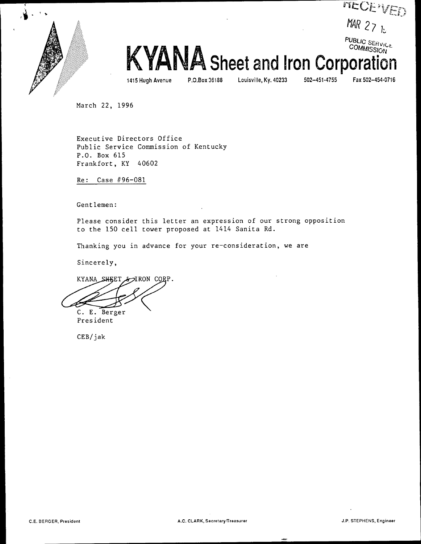

**TTECE VED** MAR 27 $k$ 

> PUBLIC SER<sub>1</sub> Cog

1415 Hugh Avenue P.O,Box 36188 Louisville, Ky. 40233 502-451-4755 Fax 502-454-0716

KYANA Sheet and Iron Corpoi

March 22, 1996

Executive Directors Office Public Service Commission of Kentucky P.O. Box 615 Frankfort, KY 40602

Re: Case #96-081

Gentlemen:

Please consider this letter an expression of our strong opposition to the 150 cell tower proposed at 1414 Sanita Rd.

Thanking you in advance for your re-consideration, we are

Sincerely,

KYANA SHEET & IRON CORP.

C. E. Berger

President

CEB/jak

 $\ddot{\phantom{a}}$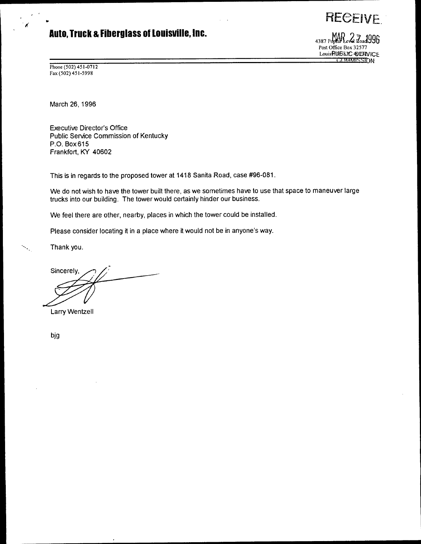# Auto, Truck & Fiberglass of Louisville, Inc.

 $4387$  Poplar Level  $\vec{a}$  and  $996$ Post Office Box 32577 LouisRUSKIC @EFEVICE i di n in in in in internationalität

**RECEIVE** 

Phone (502) 451-0712 Fax (502) 451-5998

March 26, 1996

Executive Director's Office Public Service Commission of Kentucky P.O. Box 615 Frankfort, KY 40602

This is in regards to the proposed tower at 1418 Sanita Road, case #96-081.

We do not wish to have the tower built there, as we sometimes have to use that space to maneuver large trucks into our building. The tower would certainly hinder our business.

We feel there are other, nearby, places in which the tower could be installed.

Please consider locating it in a place where it would not be in anyone's way.

Thank you.

Sincerely,

Larry Wentzell

big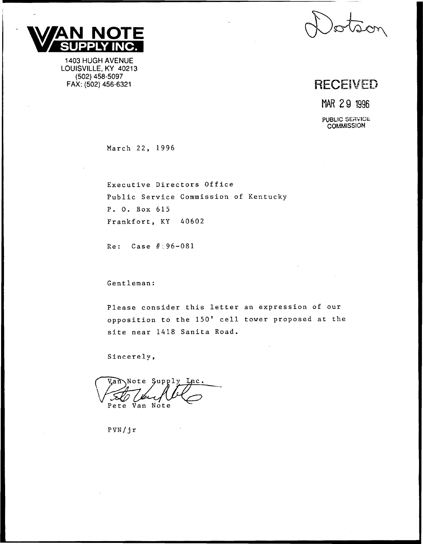

1403 HUGH AVENUE LOUISVILLE, KY 40213 (502) 458-5097<br>FAX: (502) 456-6321

# RECEIVED

VAR 29 <sup>1996</sup>

PUBLIC SERVICE **COMMISSION** 

March 22, 1996

Executive Directors Office Public Service Commission of Kentucky P. 0. Box 615 Frankfort, KY 40602

 $Re: Case 4.96-081$ 

Gentleman:

Please consider this letter an expression of our opposition to the 150' cell tower proposed at the site near 1418 Sanita Road.

Sincerely,

Van Note Supply Lnc. Pete Van Note

PVN/j r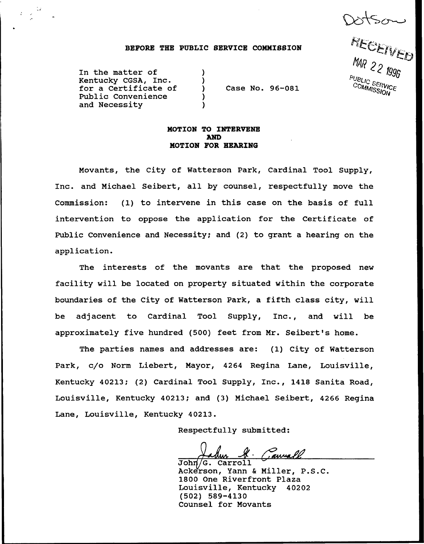Dotson

PUBLIC SERVICE COMMISSION

### BEFORE THE PUBLIC SERVICE COMMISSION

) )

) )

In the matter of Kentucky CGSA, Inc. for a Cextificate of Public Convenience and Necessity

) Case No. 96-081

# MOTION TO INTERVENE AND MOTION FOR HEARING

Movants, the City of Watterson Park, Cardinal Tool Supply, Inc. and Michael Seibert, all by counsel, respectfully move the Commission: (1) to intervene in this case on the basis of full intervention to oppose the application for the Certificate of Public Convenience and Necessity; and (2) to grant a hearing on the application.

The interests of the movants are that the proposed new facility will be located on property situated within the corporate boundaries of the City of Watterson Park, a fifth class city, will be adjacent to Cardinal Tool Supply, Inc., and will be approximately five hundred (500) feet from Mr. Seibert's home.

The parties names and addresses are: (1) City of Watterson Park, c/o Norm Liebert, Mayor, 4264 Regina Lane, Louisville, Kentucky 40213; (2) Cardinal Tool Supply, Inc., 1418 Sanita Road, Louisville, Kentucky 40213; and (3) Michael Seibert, 4266 Regina Lane, Louisville, Kentucky 40213.

Respectfully submitted:

John <u>H. Cannall</u>

Ackerson, Yann <sup>6</sup> Miller, P.S.C. 1800 One Riverfront Plaza Louisville, Kentucky 40202 (502) 589-4130 Counsel for Movants